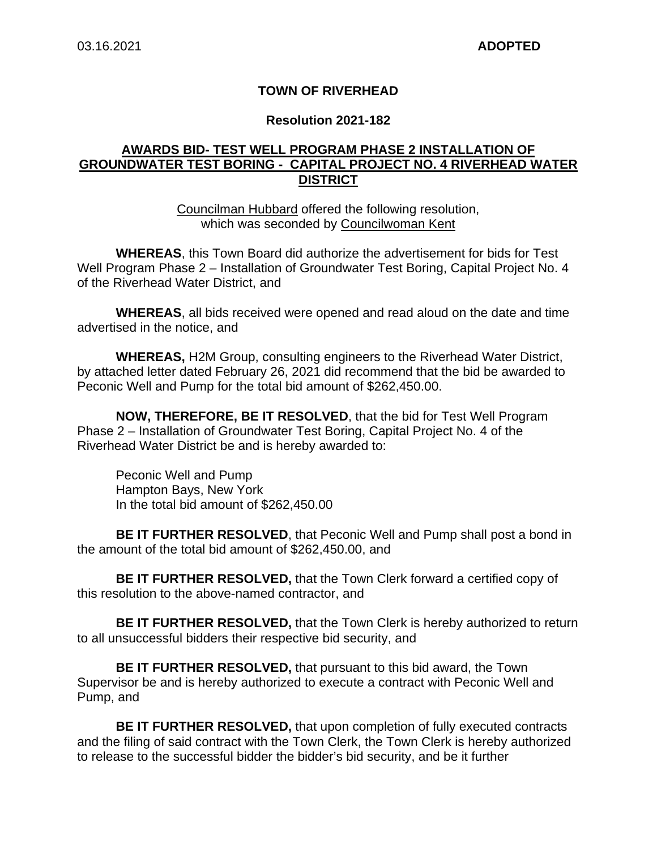#### **TOWN OF RIVERHEAD**

#### **Resolution 2021-182**

### **AWARDS BID- TEST WELL PROGRAM PHASE 2 INSTALLATION OF GROUNDWATER TEST BORING - CAPITAL PROJECT NO. 4 RIVERHEAD WATER DISTRICT**

Councilman Hubbard offered the following resolution, which was seconded by Councilwoman Kent

**WHEREAS**, this Town Board did authorize the advertisement for bids for Test Well Program Phase 2 – Installation of Groundwater Test Boring, Capital Project No. 4 of the Riverhead Water District, and

**WHEREAS**, all bids received were opened and read aloud on the date and time advertised in the notice, and

**WHEREAS,** H2M Group, consulting engineers to the Riverhead Water District, by attached letter dated February 26, 2021 did recommend that the bid be awarded to Peconic Well and Pump for the total bid amount of \$262,450.00.

**NOW, THEREFORE, BE IT RESOLVED**, that the bid for Test Well Program Phase 2 – Installation of Groundwater Test Boring, Capital Project No. 4 of the Riverhead Water District be and is hereby awarded to:

Peconic Well and Pump Hampton Bays, New York In the total bid amount of \$262,450.00

**BE IT FURTHER RESOLVED**, that Peconic Well and Pump shall post a bond in the amount of the total bid amount of \$262,450.00, and

**BE IT FURTHER RESOLVED,** that the Town Clerk forward a certified copy of this resolution to the above-named contractor, and

**BE IT FURTHER RESOLVED,** that the Town Clerk is hereby authorized to return to all unsuccessful bidders their respective bid security, and

**BE IT FURTHER RESOLVED,** that pursuant to this bid award, the Town Supervisor be and is hereby authorized to execute a contract with Peconic Well and Pump, and

**BE IT FURTHER RESOLVED,** that upon completion of fully executed contracts and the filing of said contract with the Town Clerk, the Town Clerk is hereby authorized to release to the successful bidder the bidder's bid security, and be it further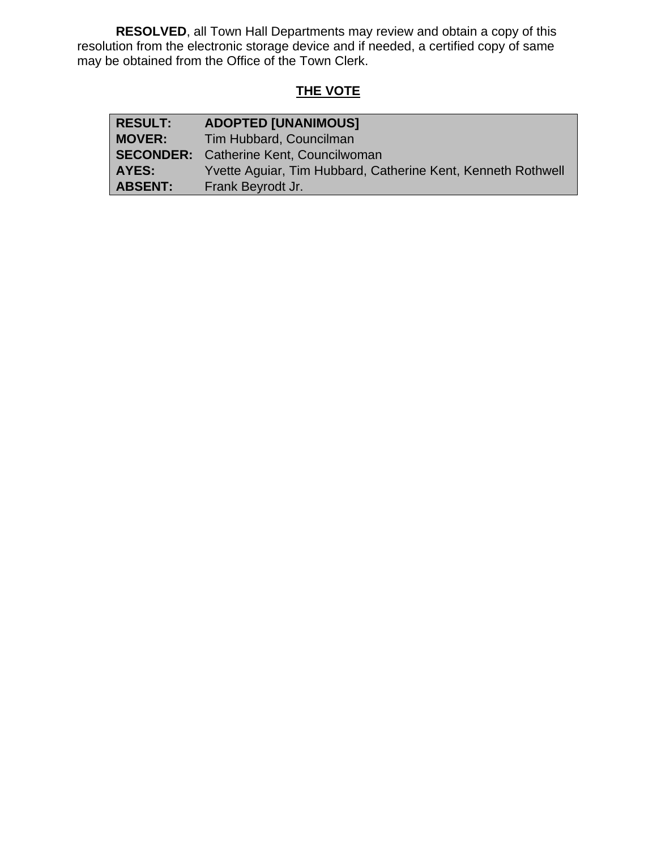**RESOLVED**, all Town Hall Departments may review and obtain a copy of this resolution from the electronic storage device and if needed, a certified copy of same may be obtained from the Office of the Town Clerk.

# **THE VOTE**

| <b>RESULT:</b> | <b>ADOPTED [UNANIMOUS]</b>                                   |
|----------------|--------------------------------------------------------------|
| <b>MOVER:</b>  | Tim Hubbard, Councilman                                      |
|                | <b>SECONDER:</b> Catherine Kent, Councilwoman                |
| AYES:          | Yvette Aquiar, Tim Hubbard, Catherine Kent, Kenneth Rothwell |
| <b>ABSENT:</b> | Frank Beyrodt Jr.                                            |